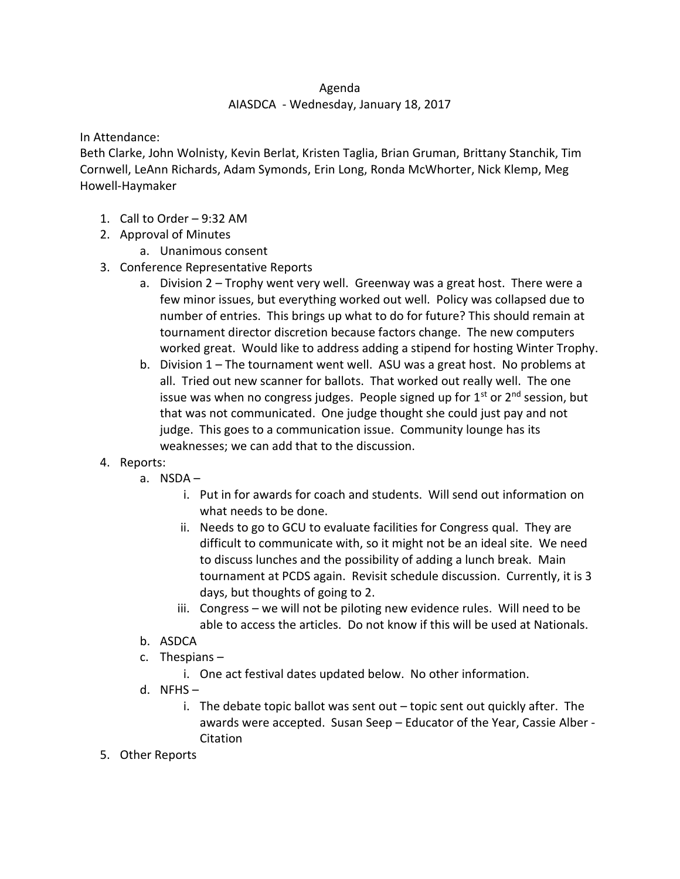## Agenda

## AIASDCA - Wednesday, January 18, 2017

In Attendance:

Beth Clarke, John Wolnisty, Kevin Berlat, Kristen Taglia, Brian Gruman, Brittany Stanchik, Tim Cornwell, LeAnn Richards, Adam Symonds, Erin Long, Ronda McWhorter, Nick Klemp, Meg Howell-Haymaker

- 1. Call to Order 9:32 AM
- 2. Approval of Minutes
	- a. Unanimous consent
- 3. Conference Representative Reports
	- a. Division 2 Trophy went very well. Greenway was a great host. There were a few minor issues, but everything worked out well. Policy was collapsed due to number of entries. This brings up what to do for future? This should remain at tournament director discretion because factors change. The new computers worked great. Would like to address adding a stipend for hosting Winter Trophy.
	- b. Division 1 The tournament went well. ASU was a great host. No problems at all. Tried out new scanner for ballots. That worked out really well. The one issue was when no congress judges. People signed up for  $1<sup>st</sup>$  or  $2<sup>nd</sup>$  session, but that was not communicated. One judge thought she could just pay and not judge. This goes to a communication issue. Community lounge has its weaknesses; we can add that to the discussion.
- 4. Reports:
	- a. NSDA
		- i. Put in for awards for coach and students. Will send out information on what needs to be done.
		- ii. Needs to go to GCU to evaluate facilities for Congress qual. They are difficult to communicate with, so it might not be an ideal site. We need to discuss lunches and the possibility of adding a lunch break. Main tournament at PCDS again. Revisit schedule discussion. Currently, it is 3 days, but thoughts of going to 2.
		- iii. Congress we will not be piloting new evidence rules. Will need to be able to access the articles. Do not know if this will be used at Nationals.
	- b. ASDCA
	- c. Thespians
		- i. One act festival dates updated below. No other information.
	- d.  $NFHS$ 
		- i. The debate topic ballot was sent out topic sent out quickly after. The awards were accepted. Susan Seep – Educator of the Year, Cassie Alber - Citation
- 5. Other Reports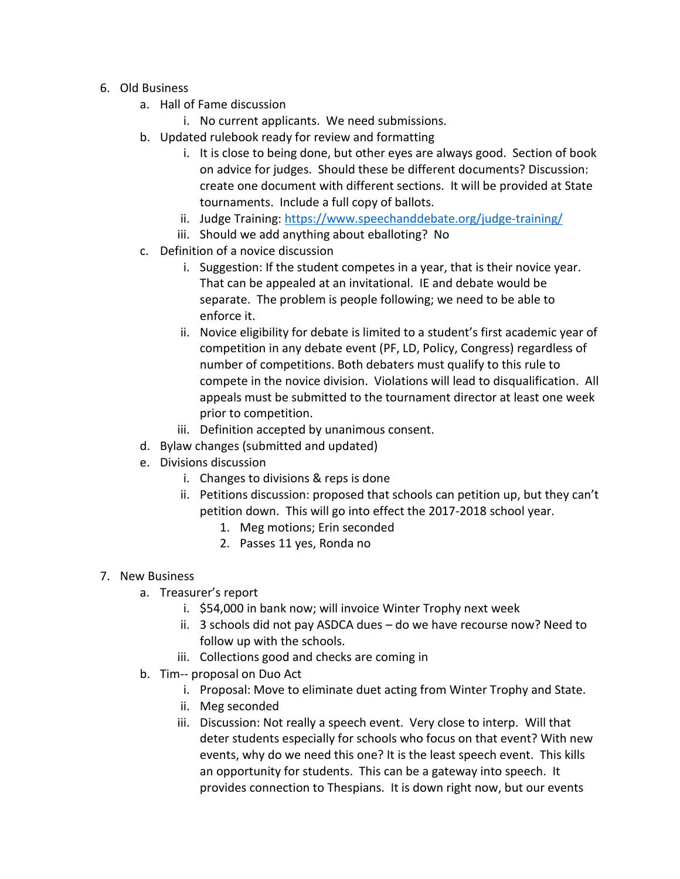- 6. Old Business
	- a. Hall of Fame discussion
		- i. No current applicants. We need submissions.
	- b. Updated rulebook ready for review and formatting
		- i. It is close to being done, but other eyes are always good. Section of book on advice for judges. Should these be different documents? Discussion: create one document with different sections. It will be provided at State tournaments. Include a full copy of ballots.
		- ii. Judge Training:<https://www.speechanddebate.org/judge-training/>
		- iii. Should we add anything about eballoting? No
	- c. Definition of a novice discussion
		- i. Suggestion: If the student competes in a year, that is their novice year. That can be appealed at an invitational. IE and debate would be separate. The problem is people following; we need to be able to enforce it.
		- ii. Novice eligibility for debate is limited to a student's first academic year of competition in any debate event (PF, LD, Policy, Congress) regardless of number of competitions. Both debaters must qualify to this rule to compete in the novice division. Violations will lead to disqualification. All appeals must be submitted to the tournament director at least one week prior to competition.
		- iii. Definition accepted by unanimous consent.
	- d. Bylaw changes (submitted and updated)
	- e. Divisions discussion
		- i. Changes to divisions & reps is done
		- ii. Petitions discussion: proposed that schools can petition up, but they can't petition down. This will go into effect the 2017-2018 school year.
			- 1. Meg motions; Erin seconded
			- 2. Passes 11 yes, Ronda no
- 7. New Business
	- a. Treasurer's report
		- i. \$54,000 in bank now; will invoice Winter Trophy next week
		- ii. 3 schools did not pay ASDCA dues do we have recourse now? Need to follow up with the schools.
		- iii. Collections good and checks are coming in
	- b. Tim-- proposal on Duo Act
		- i. Proposal: Move to eliminate duet acting from Winter Trophy and State.
		- ii. Meg seconded
		- iii. Discussion: Not really a speech event. Very close to interp. Will that deter students especially for schools who focus on that event? With new events, why do we need this one? It is the least speech event. This kills an opportunity for students. This can be a gateway into speech. It provides connection to Thespians. It is down right now, but our events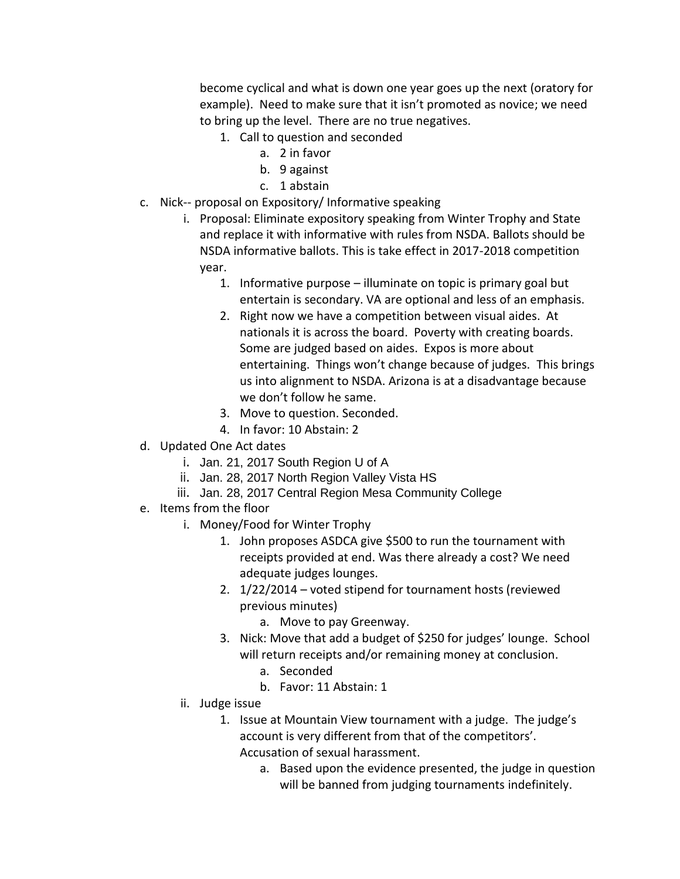become cyclical and what is down one year goes up the next (oratory for example). Need to make sure that it isn't promoted as novice; we need to bring up the level. There are no true negatives.

- 1. Call to question and seconded
	- a. 2 in favor
	- b. 9 against
	- c. 1 abstain
- c. Nick-- proposal on Expository/ Informative speaking
	- i. Proposal: Eliminate expository speaking from Winter Trophy and State and replace it with informative with rules from NSDA. Ballots should be NSDA informative ballots. This is take effect in 2017-2018 competition year.
		- 1. Informative purpose illuminate on topic is primary goal but entertain is secondary. VA are optional and less of an emphasis.
		- 2. Right now we have a competition between visual aides. At nationals it is across the board. Poverty with creating boards. Some are judged based on aides. Expos is more about entertaining. Things won't change because of judges. This brings us into alignment to NSDA. Arizona is at a disadvantage because we don't follow he same.
		- 3. Move to question. Seconded.
		- 4. In favor: 10 Abstain: 2
- d. Updated One Act dates
	- i. Jan. 21, 2017 South Region U of A
	- ii. Jan. 28, 2017 North Region Valley Vista HS
	- iii. Jan. 28, 2017 Central Region Mesa Community College
- e. Items from the floor
	- i. Money/Food for Winter Trophy
		- 1. John proposes ASDCA give \$500 to run the tournament with receipts provided at end. Was there already a cost? We need adequate judges lounges.
		- 2. 1/22/2014 voted stipend for tournament hosts (reviewed previous minutes)
			- a. Move to pay Greenway.
		- 3. Nick: Move that add a budget of \$250 for judges' lounge. School will return receipts and/or remaining money at conclusion.
			- a. Seconded
			- b. Favor: 11 Abstain: 1
	- ii. Judge issue
		- 1. Issue at Mountain View tournament with a judge. The judge's account is very different from that of the competitors'. Accusation of sexual harassment.
			- a. Based upon the evidence presented, the judge in question will be banned from judging tournaments indefinitely.